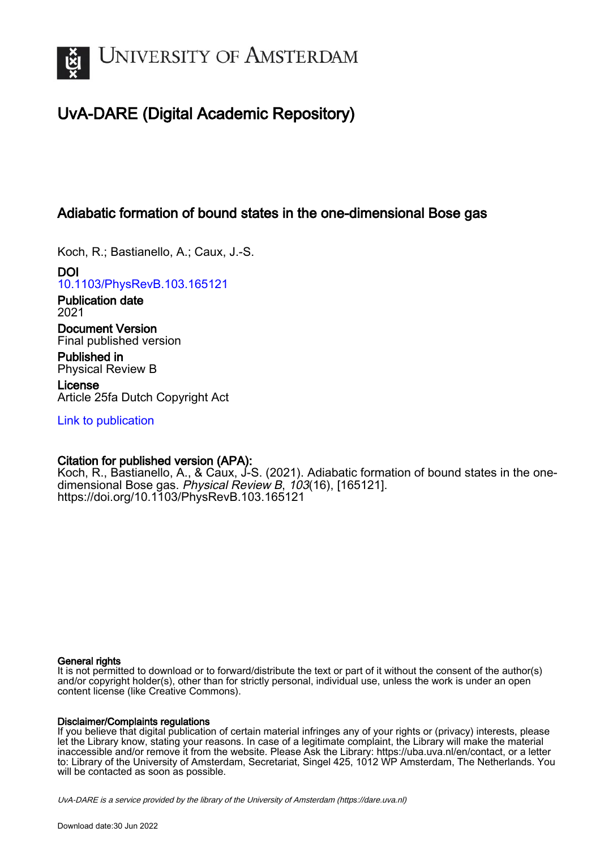

# UvA-DARE (Digital Academic Repository)

## Adiabatic formation of bound states in the one-dimensional Bose gas

Koch, R.; Bastianello, A.; Caux, J.-S.

DOI [10.1103/PhysRevB.103.165121](https://doi.org/10.1103/PhysRevB.103.165121)

Publication date 2021

Document Version Final published version

Published in Physical Review B

License Article 25fa Dutch Copyright Act

[Link to publication](https://dare.uva.nl/personal/pure/en/publications/adiabatic-formation-of-bound-states-in-the-onedimensional-bose-gas(567731bc-fc79-46b0-baeb-91d93f478951).html)

## Citation for published version (APA):

Koch, R., Bastianello, A., & Caux, J-S. (2021). Adiabatic formation of bound states in the onedimensional Bose gas. Physical Review B, 103(16), [165121]. <https://doi.org/10.1103/PhysRevB.103.165121>

## General rights

It is not permitted to download or to forward/distribute the text or part of it without the consent of the author(s) and/or copyright holder(s), other than for strictly personal, individual use, unless the work is under an open content license (like Creative Commons).

## Disclaimer/Complaints regulations

If you believe that digital publication of certain material infringes any of your rights or (privacy) interests, please let the Library know, stating your reasons. In case of a legitimate complaint, the Library will make the material inaccessible and/or remove it from the website. Please Ask the Library: https://uba.uva.nl/en/contact, or a letter to: Library of the University of Amsterdam, Secretariat, Singel 425, 1012 WP Amsterdam, The Netherlands. You will be contacted as soon as possible.

UvA-DARE is a service provided by the library of the University of Amsterdam (http*s*://dare.uva.nl)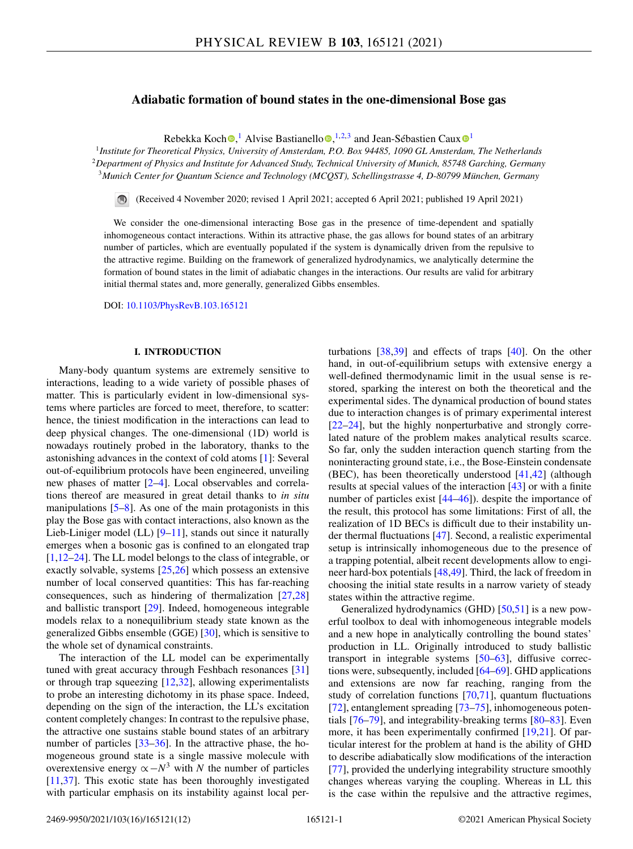## **Adiabatic formation of bound states in the one-dimensional Bose gas**

Rebekka Koc[h](https://orcid.org/0000-0002-8994-3894) $\bullet$ [,](https://orcid.org/0000-0003-3441-671X)<sup>[1](https://orcid.org/0000-0001-9322-5011)</sup> Alvise Bastianello $\bullet$ ,<sup>1,2,3</sup> and Jean-Sébastien Caux $\bullet$ <sup>1</sup>

<sup>1</sup>*Institute for Theoretical Physics, University of Amsterdam, P.O. Box 94485, 1090 GL Amsterdam, The Netherlands* <sup>2</sup>*Department of Physics and Institute for Advanced Study, Technical University of Munich, 85748 Garching, Germany* <sup>3</sup>*Munich Center for Quantum Science and Technology (MCQST), Schellingstrasse 4, D-80799 München, Germany*

(Received 4 November 2020; revised 1 April 2021; accepted 6 April 2021; published 19 April 2021)

We consider the one-dimensional interacting Bose gas in the presence of time-dependent and spatially inhomogeneous contact interactions. Within its attractive phase, the gas allows for bound states of an arbitrary number of particles, which are eventually populated if the system is dynamically driven from the repulsive to the attractive regime. Building on the framework of generalized hydrodynamics, we analytically determine the formation of bound states in the limit of adiabatic changes in the interactions. Our results are valid for arbitrary initial thermal states and, more generally, generalized Gibbs ensembles.

DOI: [10.1103/PhysRevB.103.165121](https://doi.org/10.1103/PhysRevB.103.165121)

#### **I. INTRODUCTION**

Many-body quantum systems are extremely sensitive to interactions, leading to a wide variety of possible phases of matter. This is particularly evident in low-dimensional systems where particles are forced to meet, therefore, to scatter: hence, the tiniest modification in the interactions can lead to deep physical changes. The one-dimensional (1D) world is nowadays routinely probed in the laboratory, thanks to the astonishing advances in the context of cold atoms [\[1\]](#page-10-0): Several out-of-equilibrium protocols have been engineered, unveiling new phases of matter [\[2–4\]](#page-10-0). Local observables and correlations thereof are measured in great detail thanks to *in situ* manipulations [\[5–8\]](#page-10-0). As one of the main protagonists in this play the Bose gas with contact interactions, also known as the Lieb-Liniger model (LL)  $[9-11]$ , stands out since it naturally emerges when a bosonic gas is confined to an elongated trap [\[1,12–](#page-10-0)[24\]](#page-11-0). The LL model belongs to the class of integrable, or exactly solvable, systems [\[25,26\]](#page-11-0) which possess an extensive number of local conserved quantities: This has far-reaching consequences, such as hindering of thermalization [\[27,28\]](#page-11-0) and ballistic transport [\[29\]](#page-11-0). Indeed, homogeneous integrable models relax to a nonequilibrium steady state known as the generalized Gibbs ensemble (GGE) [\[30\]](#page-11-0), which is sensitive to the whole set of dynamical constraints.

The interaction of the LL model can be experimentally tuned with great accuracy through Feshbach resonances [\[31\]](#page-11-0) or through trap squeezing [\[12,](#page-10-0)[32\]](#page-11-0), allowing experimentalists to probe an interesting dichotomy in its phase space. Indeed, depending on the sign of the interaction, the LL's excitation content completely changes: In contrast to the repulsive phase, the attractive one sustains stable bound states of an arbitrary number of particles [\[33–36\]](#page-11-0). In the attractive phase, the homogeneous ground state is a single massive molecule with overextensive energy  $\alpha - N^3$  with *N* the number of particles [\[11](#page-10-0)[,37\]](#page-11-0). This exotic state has been thoroughly investigated with particular emphasis on its instability against local per-

turbations [\[38,39\]](#page-11-0) and effects of traps [\[40\]](#page-11-0). On the other hand, in out-of-equilibrium setups with extensive energy a well-defined thermodynamic limit in the usual sense is restored, sparking the interest on both the theoretical and the experimental sides. The dynamical production of bound states due to interaction changes is of primary experimental interest [\[22–24\]](#page-11-0), but the highly nonperturbative and strongly correlated nature of the problem makes analytical results scarce. So far, only the sudden interaction quench starting from the noninteracting ground state, i.e., the Bose-Einstein condensate (BEC), has been theoretically understood  $[41, 42]$  (although results at special values of the interaction [\[43\]](#page-11-0) or with a finite number of particles exist  $[44–46]$ ). despite the importance of the result, this protocol has some limitations: First of all, the realization of 1D BECs is difficult due to their instability under thermal fluctuations [\[47\]](#page-11-0). Second, a realistic experimental setup is intrinsically inhomogeneous due to the presence of a trapping potential, albeit recent developments allow to engineer hard-box potentials [\[48,49\]](#page-11-0). Third, the lack of freedom in choosing the initial state results in a narrow variety of steady states within the attractive regime.

Generalized hydrodynamics (GHD) [\[50,51\]](#page-11-0) is a new powerful toolbox to deal with inhomogeneous integrable models and a new hope in analytically controlling the bound states' production in LL. Originally introduced to study ballistic transport in integrable systems [\[50–63\]](#page-11-0), diffusive corrections were, subsequently, included [\[64–69\]](#page-11-0). GHD applications and extensions are now far reaching, ranging from the study of correlation functions [\[70,71\]](#page-11-0), quantum fluctuations [\[72\]](#page-11-0), entanglement spreading [73-75], inhomogeneous potentials [\[76–79\]](#page-11-0), and integrability-breaking terms [\[80–83\]](#page-11-0). Even more, it has been experimentally confirmed [\[19](#page-10-0)[,21\]](#page-11-0). Of particular interest for the problem at hand is the ability of GHD to describe adiabatically slow modifications of the interaction [\[77\]](#page-11-0), provided the underlying integrability structure smoothly changes whereas varying the coupling. Whereas in LL this is the case within the repulsive and the attractive regimes,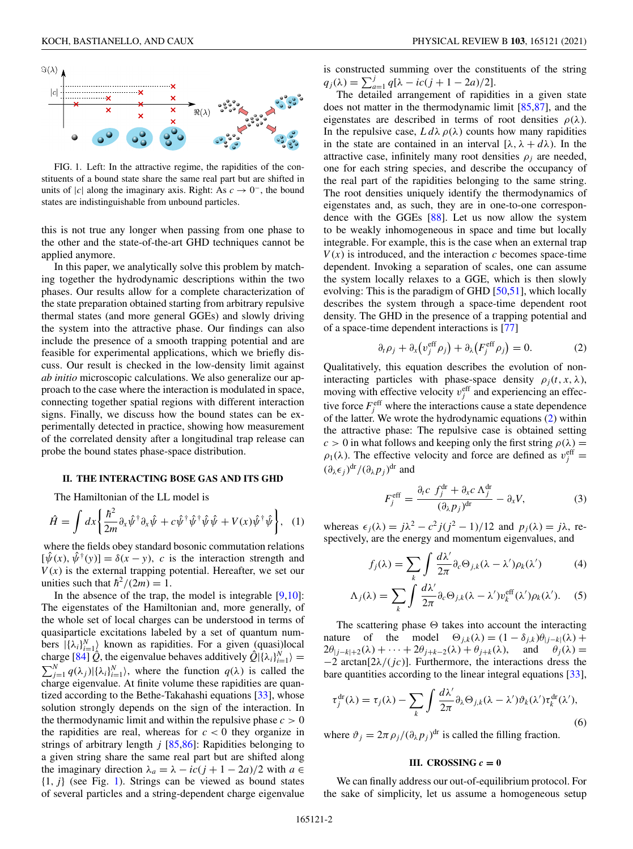<span id="page-2-0"></span>

FIG. 1. Left: In the attractive regime, the rapidities of the constituents of a bound state share the same real part but are shifted in units of |*c*| along the imaginary axis. Right: As  $c \to 0^-$ , the bound states are indistinguishable from unbound particles.

this is not true any longer when passing from one phase to the other and the state-of-the-art GHD techniques cannot be applied anymore.

In this paper, we analytically solve this problem by matching together the hydrodynamic descriptions within the two phases. Our results allow for a complete characterization of the state preparation obtained starting from arbitrary repulsive thermal states (and more general GGEs) and slowly driving the system into the attractive phase. Our findings can also include the presence of a smooth trapping potential and are feasible for experimental applications, which we briefly discuss. Our result is checked in the low-density limit against *ab initio* microscopic calculations. We also generalize our approach to the case where the interaction is modulated in space, connecting together spatial regions with different interaction signs. Finally, we discuss how the bound states can be experimentally detected in practice, showing how measurement of the correlated density after a longitudinal trap release can probe the bound states phase-space distribution.

#### **II. THE INTERACTING BOSE GAS AND ITS GHD**

The Hamiltonian of the LL model is

$$
\hat{H} = \int dx \left\{ \frac{\hbar^2}{2m} \partial_x \hat{\psi}^\dagger \partial_x \hat{\psi} + c \hat{\psi}^\dagger \hat{\psi}^\dagger \hat{\psi} \hat{\psi} + V(x) \hat{\psi}^\dagger \hat{\psi} \right\}, \quad (1)
$$

where the fields obey standard bosonic commutation relations  $[\hat{\psi}(x), \hat{\psi}^{\dagger}(y)] = \delta(x - y)$ , *c* is the interaction strength and  $V(x)$  is the external trapping potential. Hereafter, we set our unities such that  $\hbar^2/(2m) = 1$ .

In the absence of the trap, the model is integrable  $[9,10]$ : The eigenstates of the Hamiltonian and, more generally, of the whole set of local charges can be understood in terms of quasiparticle excitations labeled by a set of quantum numbers  $|\{\lambda_i\}_{i=1}^N\rangle$  known as rapidities. For a given (quasi)local charge  $[84]$   $\hat{Q}$ , the eigenvalue behaves additively  $\hat{Q}$  $|\{\lambda_i\}_{i=1}^N\rangle =$  $\sum_{j=1}^{N} q(\lambda_j) | \{\lambda_i\}_{i=1}^{N} \rangle$ , where the function  $q(\lambda)$  is called the charge eigenvalue. At finite volume these rapidities are quantized according to the Bethe-Takahashi equations [\[33\]](#page-11-0), whose solution strongly depends on the sign of the interaction. In the thermodynamic limit and within the repulsive phase  $c > 0$ the rapidities are real, whereas for  $c < 0$  they organize in strings of arbitrary length *j* [\[85,86\]](#page-12-0): Rapidities belonging to a given string share the same real part but are shifted along the imaginary direction  $\lambda_a = \lambda - ic(j + 1 - 2a)/2$  with  $a \in$  ${1, j}$  (see Fig. 1). Strings can be viewed as bound states of several particles and a string-dependent charge eigenvalue

is constructed summing over the constituents of the string  $q_j(\lambda) = \sum_{a=1}^j q[\lambda - ic(j + 1 - 2a)/2].$ 

The detailed arrangement of rapidities in a given state does not matter in the thermodynamic limit [\[85,87\]](#page-12-0), and the eigenstates are described in terms of root densities  $\rho(\lambda)$ . In the repulsive case,  $L d\lambda \rho(\lambda)$  counts how many rapidities in the state are contained in an interval  $[\lambda, \lambda + d\lambda)$ . In the attractive case, infinitely many root densities  $\rho_i$  are needed, one for each string species, and describe the occupancy of the real part of the rapidities belonging to the same string. The root densities uniquely identify the thermodynamics of eigenstates and, as such, they are in one-to-one correspondence with the GGEs [\[88\]](#page-12-0). Let us now allow the system to be weakly inhomogeneous in space and time but locally integrable. For example, this is the case when an external trap  $V(x)$  is introduced, and the interaction *c* becomes space-time dependent. Invoking a separation of scales, one can assume the system locally relaxes to a GGE, which is then slowly evolving: This is the paradigm of GHD [\[50,51\]](#page-11-0), which locally describes the system through a space-time dependent root density. The GHD in the presence of a trapping potential and of a space-time dependent interactions is [\[77\]](#page-11-0)

$$
\partial_t \rho_j + \partial_x \left( v_j^{\text{eff}} \rho_j \right) + \partial_\lambda \left( F_j^{\text{eff}} \rho_j \right) = 0. \tag{2}
$$

Qualitatively, this equation describes the evolution of noninteracting particles with phase-space density  $\rho_j(t, x, \lambda)$ , moving with effective velocity  $v_j^{\text{eff}}$  and experiencing an effective force  $F_j^{\text{eff}}$  where the interactions cause a state dependence of the latter. We wrote the hydrodynamic equations (2) within the attractive phase: The repulsive case is obtained setting  $c > 0$  in what follows and keeping only the first string  $\rho(\lambda) =$  $\rho_1(\lambda)$ . The effective velocity and force are defined as  $v_j^{\text{eff}} =$  $(\partial_{\lambda} \epsilon_j)^{dr} / (\partial_{\lambda} p_j)^{dr}$  and

$$
F_j^{\text{eff}} = \frac{\partial_t c \ f_j^{\text{dr}} + \partial_x c \Lambda_j^{\text{dr}}}{(\partial_\lambda p_j)^{\text{dr}}} - \partial_x V,\tag{3}
$$

whereas  $\epsilon_j(\lambda) = j\lambda^2 - c^2 j(j^2 - 1)/12$  and  $p_j(\lambda) = j\lambda$ , respectively, are the energy and momentum eigenvalues, and

$$
f_j(\lambda) = \sum_k \int \frac{d\lambda'}{2\pi} \partial_c \Theta_{j,k}(\lambda - \lambda') \rho_k(\lambda')
$$
 (4)

$$
\Lambda_j(\lambda) = \sum_k \int \frac{d\lambda'}{2\pi} \partial_c \Theta_{j,k}(\lambda - \lambda') v_k^{\text{eff}}(\lambda') \rho_k(\lambda'). \quad (5)
$$

The scattering phase  $\Theta$  takes into account the interacting nature of the model  $\Theta_{j,k}(\lambda) = (1 - \delta_{j,k})\theta_{|j-k|}(\lambda) +$  $2\theta_{|i-k|+2}(\lambda) + \cdots + 2\theta_{i+k-2}(\lambda) + \theta_{i+k}(\lambda)$ , and  $\theta_i(\lambda) =$ −2 arctan[2λ/(*jc*)]. Furthermore, the interactions dress the bare quantities according to the linear integral equations [\[33\]](#page-11-0),

$$
\tau_j^{\mathrm{dr}}(\lambda) = \tau_j(\lambda) - \sum_k \int \frac{d\lambda'}{2\pi} \partial_\lambda \Theta_{j,k}(\lambda - \lambda') \vartheta_k(\lambda') \tau_k^{\mathrm{dr}}(\lambda'), \tag{6}
$$

where  $\vartheta_j = 2\pi \rho_j/(\partial_\lambda p_j)^{\text{dr}}$  is called the filling fraction.

#### **III.** CROSSING  $c = 0$

We can finally address our out-of-equilibrium protocol. For the sake of simplicity, let us assume a homogeneous setup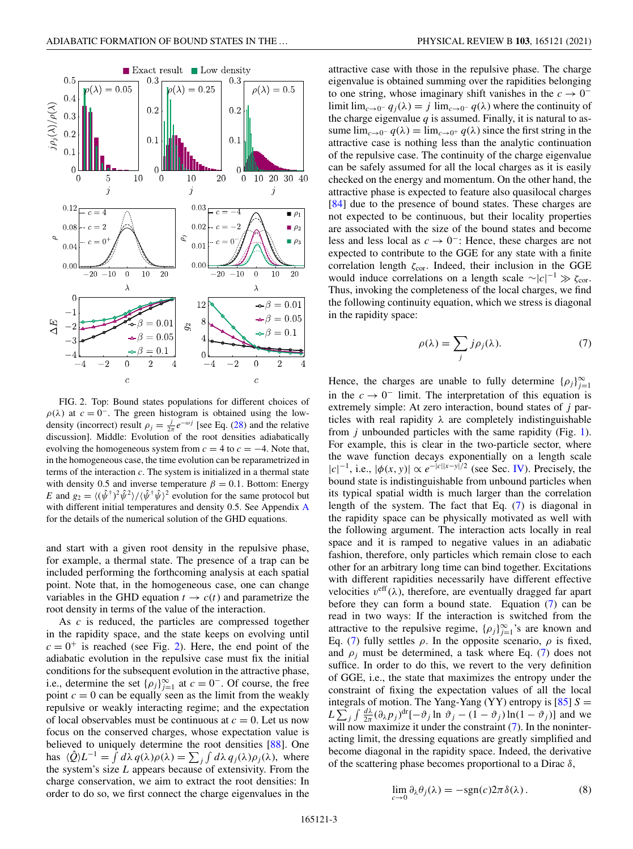<span id="page-3-0"></span>

FIG. 2. Top: Bound states populations for different choices of  $\rho(\lambda)$  at  $c = 0^-$ . The green histogram is obtained using the lowdensity (incorrect) result  $\rho_j = \frac{j}{2\pi} e^{-\omega j}$  [see Eq. [\(28\)](#page-6-0) and the relative discussion]. Middle: Evolution of the root densities adiabatically evolving the homogeneous system from  $c = 4$  to  $c = -4$ . Note that, in the homogeneous case, the time evolution can be reparametrized in terms of the interaction *c*. The system is initialized in a thermal state with density 0.5 and inverse temperature  $\beta = 0.1$ . Bottom: Energy *E* and  $g_2 = \langle (\hat{\psi}^{\dagger})^2 \hat{\psi}^2 \rangle / \langle \hat{\psi}^{\dagger} \hat{\psi} \rangle^2$  evolution for the same protocol but with different initial temperatures and density 0.5. See Appendix [A](#page-9-0) for the details of the numerical solution of the GHD equations.

and start with a given root density in the repulsive phase, for example, a thermal state. The presence of a trap can be included performing the forthcoming analysis at each spatial point. Note that, in the homogeneous case, one can change variables in the GHD equation  $t \to c(t)$  and parametrize the root density in terms of the value of the interaction.

As *c* is reduced, the particles are compressed together in the rapidity space, and the state keeps on evolving until  $c = 0^+$  is reached (see Fig. 2). Here, the end point of the adiabatic evolution in the repulsive case must fix the initial conditions for the subsequent evolution in the attractive phase, i.e., determine the set  $\{\rho_j\}_{j=1}^{\infty}$  at  $c = 0^-$ . Of course, the free point  $c = 0$  can be equally seen as the limit from the weakly repulsive or weakly interacting regime; and the expectation of local observables must be continuous at  $c = 0$ . Let us now focus on the conserved charges, whose expectation value is believed to uniquely determine the root densities [\[88\]](#page-12-0). One has  $\langle \hat{Q} \rangle L^{-1} = \int d\lambda q(\lambda) \rho(\lambda) = \sum_j \int d\lambda q_j(\lambda) \rho_j(\lambda)$ , where the system's size *L* appears because of extensivity. From the charge conservation, we aim to extract the root densities: In order to do so, we first connect the charge eigenvalues in the

attractive case with those in the repulsive phase. The charge eigenvalue is obtained summing over the rapidities belonging to one string, whose imaginary shift vanishes in the  $c \to 0^$ limit lim<sub>*c*→0</sub>−  $q_j(\lambda) = j \lim_{c \to 0^-} q(\lambda)$  where the continuity of the charge eigenvalue  $q$  is assumed. Finally, it is natural to assume  $\lim_{c\to 0^-} q(\lambda) = \lim_{c\to 0^+} q(\lambda)$  since the first string in the attractive case is nothing less than the analytic continuation of the repulsive case. The continuity of the charge eigenvalue can be safely assumed for all the local charges as it is easily checked on the energy and momentum. On the other hand, the attractive phase is expected to feature also quasilocal charges [\[84\]](#page-12-0) due to the presence of bound states. These charges are not expected to be continuous, but their locality properties are associated with the size of the bound states and become less and less local as *c* → 0<sup>−</sup>: Hence, these charges are not expected to contribute to the GGE for any state with a finite correlation length  $\zeta_{\text{cor}}$ . Indeed, their inclusion in the GGE would induce correlations on a length scale  $\sim |c|^{-1} \gg \zeta_{\text{cor}}$ . Thus, invoking the completeness of the local charges, we find the following continuity equation, which we stress is diagonal in the rapidity space:

$$
\rho(\lambda) = \sum_{j} j \rho_j(\lambda). \tag{7}
$$

Hence, the charges are unable to fully determine  $\{\rho_j\}_{j=1}^{\infty}$ in the  $c \to 0^-$  limit. The interpretation of this equation is extremely simple: At zero interaction, bound states of *j* particles with real rapidity  $\lambda$  are completely indistinguishable from *j* unbounded particles with the same rapidity (Fig. [1\)](#page-2-0). For example, this is clear in the two-particle sector, where the wave function decays exponentially on a length scale  $|c|^{-1}$ , i.e.,  $|\phi(x, y)| \propto e^{-|c||x - y|/2}$  (see Sec. [IV\)](#page-4-0). Precisely, the bound state is indistinguishable from unbound particles when its typical spatial width is much larger than the correlation length of the system. The fact that Eq. (7) is diagonal in the rapidity space can be physically motivated as well with the following argument. The interaction acts locally in real space and it is ramped to negative values in an adiabatic fashion, therefore, only particles which remain close to each other for an arbitrary long time can bind together. Excitations with different rapidities necessarily have different effective velocities  $v^{\text{eff}}(\lambda)$ , therefore, are eventually dragged far apart before they can form a bound state. Equation (7) can be read in two ways: If the interaction is switched from the attractive to the repulsive regime,  $\{\rho_j\}_{j=1}^{\infty}$ 's are known and Eq. (7) fully settles  $\rho$ . In the opposite scenario,  $\rho$  is fixed, and  $\rho_i$  must be determined, a task where Eq. (7) does not suffice. In order to do this, we revert to the very definition of GGE, i.e., the state that maximizes the entropy under the constraint of fixing the expectation values of all the local integrals of motion. The Yang-Yang  $(YY)$  entropy is  $[85] S =$  $[85] S =$  $L \sum_{j} \int \frac{d\lambda}{2\pi} (\partial_{\lambda} p_j)^{dr} [-\partial_{j} \ln \partial_{j} - (1 - \partial_{j}) \ln(1 - \partial_{j})]$  and we will now maximize it under the constraint (7). In the noninteracting limit, the dressing equations are greatly simplified and become diagonal in the rapidity space. Indeed, the derivative of the scattering phase becomes proportional to a Dirac  $\delta$ ,

$$
\lim_{c \to 0} \partial_{\lambda} \theta_j(\lambda) = -\text{sgn}(c) 2\pi \delta(\lambda).
$$
 (8)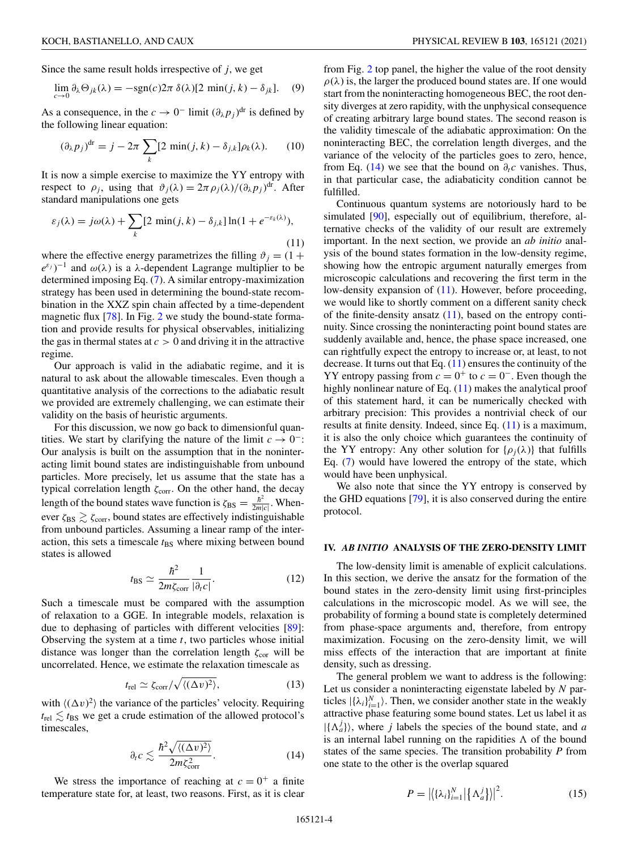<span id="page-4-0"></span>Since the same result holds irrespective of *j*, we get

$$
\lim_{c \to 0} \partial_{\lambda} \Theta_{jk}(\lambda) = -\text{sgn}(c) 2\pi \delta(\lambda) [2 \min(j, k) - \delta_{jk}]. \tag{9}
$$

As a consequence, in the  $c \to 0^-$  limit  $(\partial_{\lambda} p_j)^{dr}$  is defined by the following linear equation:

$$
(\partial_{\lambda} p_j)^{\text{dr}} = j - 2\pi \sum_{k} [2 \min(j, k) - \delta_{j,k}] \rho_k(\lambda). \tag{10}
$$

It is now a simple exercise to maximize the YY entropy with respect to  $\rho_j$ , using that  $\vartheta_j(\lambda) = 2\pi \rho_j(\lambda) / (\partial_\lambda p_j)^{\text{dr}}$ . After standard manipulations one gets

$$
\varepsilon_j(\lambda) = j\omega(\lambda) + \sum_k [2 \min(j, k) - \delta_{j,k}] \ln(1 + e^{-\varepsilon_k(\lambda)}),
$$
\n(11)

where the effective energy parametrizes the filling  $\vartheta_j = (1 + \pi)^{j}$  $(e^{\varepsilon_j})^{-1}$  and  $\omega(\lambda)$  is a  $\lambda$ -dependent Lagrange multiplier to be determined imposing Eq. [\(7\)](#page-3-0). A similar entropy-maximization strategy has been used in determining the bound-state recombination in the XXZ spin chain affected by a time-dependent magnetic flux [\[78\]](#page-11-0). In Fig. [2](#page-3-0) we study the bound-state formation and provide results for physical observables, initializing the gas in thermal states at  $c > 0$  and driving it in the attractive regime.

Our approach is valid in the adiabatic regime, and it is natural to ask about the allowable timescales. Even though a quantitative analysis of the corrections to the adiabatic result we provided are extremely challenging, we can estimate their validity on the basis of heuristic arguments.

For this discussion, we now go back to dimensionful quantities. We start by clarifying the nature of the limit  $c \to 0^-$ : Our analysis is built on the assumption that in the noninteracting limit bound states are indistinguishable from unbound particles. More precisely, let us assume that the state has a typical correlation length  $\zeta_{\text{corr}}$ . On the other hand, the decay length of the bound states wave function is  $\zeta_{BS} = \frac{\hbar^2}{2m|c|}$ . Whenever  $\zeta_{\rm BS} \gtrsim \zeta_{\rm corr}$ , bound states are effectively indistinguishable from unbound particles. Assuming a linear ramp of the interaction, this sets a timescale  $t_{BS}$  where mixing between bound states is allowed

$$
t_{\rm BS} \simeq \frac{\hbar^2}{2m\zeta_{\rm corr}} \frac{1}{|\partial_t c|}.
$$
 (12)

Such a timescale must be compared with the assumption of relaxation to a GGE. In integrable models, relaxation is due to dephasing of particles with different velocities [\[89\]](#page-12-0): Observing the system at a time *t*, two particles whose initial distance was longer than the correlation length  $\zeta_{cor}$  will be uncorrelated. Hence, we estimate the relaxation timescale as

$$
t_{\rm rel} \simeq \zeta_{\rm corr}/\sqrt{\langle (\Delta v)^2 \rangle},\tag{13}
$$

with  $\langle (\Delta v)^2 \rangle$  the variance of the particles' velocity. Requiring  $t_{\text{rel}} \lesssim t_{\text{BS}}$  we get a crude estimation of the allowed protocol's timescales,

$$
\partial_t c \lesssim \frac{\hbar^2 \sqrt{\langle (\Delta v)^2 \rangle}}{2m \zeta_{\rm corr}^2}.
$$
 (14)

We stress the importance of reaching at  $c = 0^+$  a finite temperature state for, at least, two reasons. First, as it is clear

from Fig. [2](#page-3-0) top panel, the higher the value of the root density  $\rho(\lambda)$  is, the larger the produced bound states are. If one would start from the noninteracting homogeneous BEC, the root density diverges at zero rapidity, with the unphysical consequence of creating arbitrary large bound states. The second reason is the validity timescale of the adiabatic approximation: On the noninteracting BEC, the correlation length diverges, and the variance of the velocity of the particles goes to zero, hence, from Eq. (14) we see that the bound on  $\partial_t c$  vanishes. Thus, in that particular case, the adiabaticity condition cannot be fulfilled.

Continuous quantum systems are notoriously hard to be simulated [\[90\]](#page-12-0), especially out of equilibrium, therefore, alternative checks of the validity of our result are extremely important. In the next section, we provide an *ab initio* analysis of the bound states formation in the low-density regime, showing how the entropic argument naturally emerges from microscopic calculations and recovering the first term in the low-density expansion of (11). However, before proceeding, we would like to shortly comment on a different sanity check of the finite-density ansatz  $(11)$ , based on the entropy continuity. Since crossing the noninteracting point bound states are suddenly available and, hence, the phase space increased, one can rightfully expect the entropy to increase or, at least, to not decrease. It turns out that Eq.  $(11)$  ensures the continuity of the YY entropy passing from  $c = 0^+$  to  $c = 0^-$ . Even though the highly nonlinear nature of Eq. (11) makes the analytical proof of this statement hard, it can be numerically checked with arbitrary precision: This provides a nontrivial check of our results at finite density. Indeed, since Eq. (11) is a maximum, it is also the only choice which guarantees the continuity of the YY entropy: Any other solution for  $\{\rho_i(\lambda)\}\$  that fulfills Eq. [\(7\)](#page-3-0) would have lowered the entropy of the state, which would have been unphysical.

We also note that since the YY entropy is conserved by the GHD equations [\[79\]](#page-11-0), it is also conserved during the entire protocol.

#### **IV.** *AB INITIO* **ANALYSIS OF THE ZERO-DENSITY LIMIT**

The low-density limit is amenable of explicit calculations. In this section, we derive the ansatz for the formation of the bound states in the zero-density limit using first-principles calculations in the microscopic model. As we will see, the probability of forming a bound state is completely determined from phase-space arguments and, therefore, from entropy maximization. Focusing on the zero-density limit, we will miss effects of the interaction that are important at finite density, such as dressing.

The general problem we want to address is the following: Let us consider a noninteracting eigenstate labeled by *N* particles  $|\{\lambda_i\}_{i=1}^N\rangle$ . Then, we consider another state in the weakly attractive phase featuring some bound states. Let us label it as  $|{\{\Lambda_a^j\}}\rangle$ , where *j* labels the species of the bound state, and *a* is an internal label running on the rapidities  $\Lambda$  of the bound states of the same species. The transition probability *P* from one state to the other is the overlap squared

$$
P = \left| \left\langle \{\lambda_i\}_{i=1}^N \right| \left\{ \Lambda_a^j \right\} \right| \right|^2. \tag{15}
$$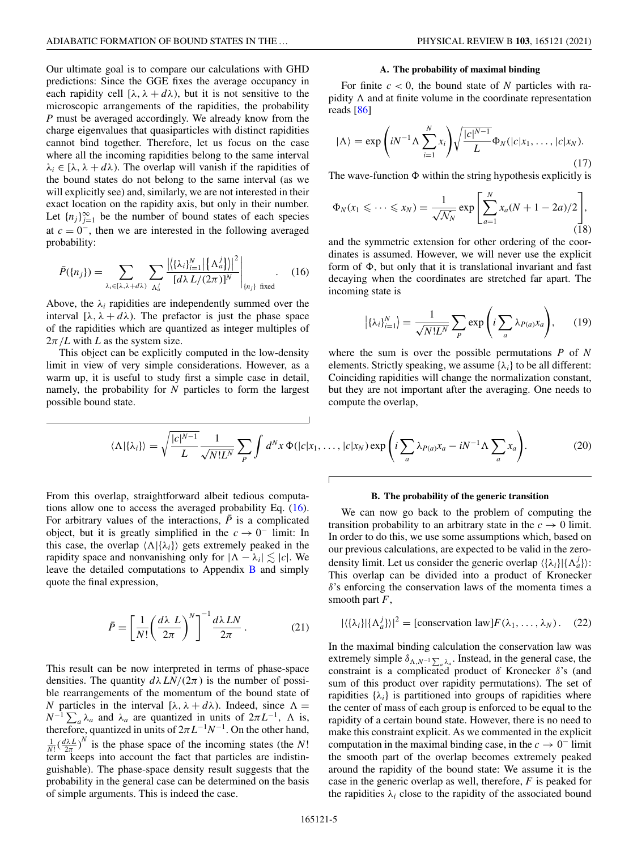<span id="page-5-0"></span>Our ultimate goal is to compare our calculations with GHD predictions: Since the GGE fixes the average occupancy in each rapidity cell  $[\lambda, \lambda + d\lambda)$ , but it is not sensitive to the microscopic arrangements of the rapidities, the probability *P* must be averaged accordingly. We already know from the charge eigenvalues that quasiparticles with distinct rapidities cannot bind together. Therefore, let us focus on the case where all the incoming rapidities belong to the same interval  $\lambda_i \in [\lambda, \lambda + d\lambda)$ . The overlap will vanish if the rapidities of the bound states do not belong to the same interval (as we will explicitly see) and, similarly, we are not interested in their exact location on the rapidity axis, but only in their number. Let  ${n_j}_{j=1}^{\infty}$  be the number of bound states of each species at  $c = 0^-$ , then we are interested in the following averaged probability:

$$
\bar{P}(\{n_j\}) = \sum_{\lambda_i \in [\lambda, \lambda + d\lambda)} \sum_{\Lambda_a^j} \frac{\left| \left\{ \left\{ \lambda_i \right\}_{i=1}^N \right| \left\{ \Lambda_a^j \right\} \right|^2}{\left[ d\lambda L / (2\pi) \right]^N} \Big|_{\{n_j\} \text{ fixed}}.
$$
 (16)

Above, the  $\lambda_i$  rapidities are independently summed over the interval  $[\lambda, \lambda + d\lambda)$ . The prefactor is just the phase space of the rapidities which are quantized as integer multiples of  $2\pi/L$  with *L* as the system size.

This object can be explicitly computed in the low-density limit in view of very simple considerations. However, as a warm up, it is useful to study first a simple case in detail, namely, the probability for *N* particles to form the largest possible bound state.

#### **A. The probability of maximal binding**

For finite  $c < 0$ , the bound state of N particles with rapidity  $\Lambda$  and at finite volume in the coordinate representation reads [\[86\]](#page-12-0)

$$
|\Lambda\rangle = \exp\left(iN^{-1}\Lambda \sum_{i=1}^{N} x_i\right) \sqrt{\frac{|c|^{N-1}}{L}} \Phi_N(|c|x_1,\ldots,|c|x_N). \tag{17}
$$

The wave-function  $\Phi$  within the string hypothesis explicitly is

$$
\Phi_N(x_1 \leqslant \dots \leqslant x_N) = \frac{1}{\sqrt{\mathcal{N}_N}} \exp \left[ \sum_{a=1}^N x_a (N+1-2a)/2 \right], \tag{18}
$$

and the symmetric extension for other ordering of the coordinates is assumed. However, we will never use the explicit form of  $\Phi$ , but only that it is translational invariant and fast decaying when the coordinates are stretched far apart. The incoming state is

$$
\left| \{ \lambda_i \}_{i=1}^N \right| = \frac{1}{\sqrt{N! L^N}} \sum_P \exp\left( i \sum_a \lambda_{P(a)} x_a \right), \qquad (19)
$$

where the sum is over the possible permutations *P* of *N* elements. Strictly speaking, we assume  $\{\lambda_i\}$  to be all different: Coinciding rapidities will change the normalization constant, but they are not important after the averaging. One needs to compute the overlap,

$$
\langle \Lambda | \{\lambda_i\} \rangle = \sqrt{\frac{|c|^{N-1}}{L}} \frac{1}{\sqrt{N!L^N}} \sum_{P} \int d^N x \, \Phi(|c|x_1, \dots, |c|x_N) \exp\left(i \sum_{a} \lambda_{P(a)} x_a - i N^{-1} \Lambda \sum_{a} x_a\right). \tag{20}
$$

From this overlap, straightforward albeit tedious computations allow one to access the averaged probability Eq. (16). For arbitrary values of the interactions,  $\overline{P}$  is a complicated object, but it is greatly simplified in the  $c \to 0^-$  limit: In this case, the overlap  $\langle \Lambda | {\lambda_i} \rangle$  gets extremely peaked in the rapidity space and nonvanishing only for  $|\Lambda - \lambda_i| \lesssim |c|$ . We leave the detailed computations to Appendix  $\bf{B}$  $\bf{B}$  $\bf{B}$  and simply quote the final expression,

$$
\bar{P} = \left[\frac{1}{N!} \left(\frac{d\lambda L}{2\pi}\right)^N\right]^{-1} \frac{d\lambda LN}{2\pi}.
$$
 (21)

This result can be now interpreted in terms of phase-space densities. The quantity  $d\lambda LN/(2\pi)$  is the number of possible rearrangements of the momentum of the bound state of *N* particles in the interval [ $\lambda$ ,  $\lambda + d\lambda$ ). Indeed, since  $\Lambda =$  $N^{-1} \sum_a \lambda_a$  and  $\lambda_a$  are quantized in units of  $2\pi L^{-1}$ ,  $\Lambda$  is, therefore, quantized in units of  $2\pi L^{-1}N^{-1}$ . On the other hand,  $\frac{1}{N!} \left( \frac{d\lambda L}{2\pi} \right)^N$  is the phase space of the incoming states (the *N*! term keeps into account the fact that particles are indistinguishable). The phase-space density result suggests that the probability in the general case can be determined on the basis of simple arguments. This is indeed the case.

#### **B. The probability of the generic transition**

We can now go back to the problem of computing the transition probability to an arbitrary state in the  $c \rightarrow 0$  limit. In order to do this, we use some assumptions which, based on our previous calculations, are expected to be valid in the zerodensity limit. Let us consider the generic overlap  $\langle {\lambda_i} \rangle | {\{\Lambda_a^j\}} \rangle$ : This overlap can be divided into a product of Kronecker δ's enforcing the conservation laws of the momenta times a smooth part *F*,

$$
|\langle {\{\lambda_i\}}| {\{\Lambda_a^j\}} \rangle|^2 = \text{[conservation law]} F(\lambda_1, \dots, \lambda_N). \quad (22)
$$

In the maximal binding calculation the conservation law was extremely simple  $\delta_{\Lambda, N^{-1} \sum_a \lambda_a}$ . Instead, in the general case, the constraint is a complicated product of Kronecker  $\delta$ 's (and sum of this product over rapidity permutations). The set of rapidities  $\{\lambda_i\}$  is partitioned into groups of rapidities where the center of mass of each group is enforced to be equal to the rapidity of a certain bound state. However, there is no need to make this constraint explicit. As we commented in the explicit computation in the maximal binding case, in the  $c \to 0^-$  limit the smooth part of the overlap becomes extremely peaked around the rapidity of the bound state: We assume it is the case in the generic overlap as well, therefore, *F* is peaked for the rapidities  $\lambda_i$  close to the rapidity of the associated bound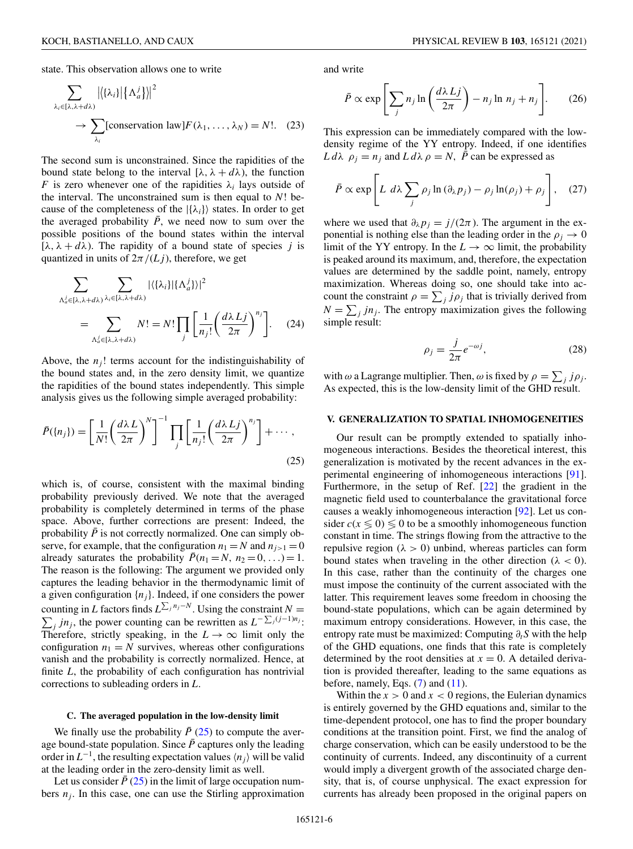<span id="page-6-0"></span>state. This observation allows one to write

$$
\sum_{\lambda_i \in [\lambda, \lambda + d\lambda)} |\{\lambda_i\}| {\{\Lambda'_a\}}|^2
$$
  
\n
$$
\rightarrow \sum_{\lambda_i} \text{Conservation law} F(\lambda_1, \dots, \lambda_N) = N!.
$$
 (23)

The second sum is unconstrained. Since the rapidities of the bound state belong to the interval  $[\lambda, \lambda + d\lambda)$ , the function *F* is zero whenever one of the rapidities  $\lambda_i$  lays outside of the interval. The unconstrained sum is then equal to *N*! because of the completeness of the  $|\{\lambda_i\}\rangle$  states. In order to get the averaged probability  $\bar{P}$ , we need now to sum over the possible positions of the bound states within the interval [ $\lambda$ ,  $\lambda + d\lambda$ ]. The rapidity of a bound state of species *j* is quantized in units of  $2\pi/(Lj)$ , therefore, we get

$$
\sum_{\Lambda_a^j \in [\lambda, \lambda + d\lambda)} \sum_{\lambda_i \in [\lambda, \lambda + d\lambda)} |\langle {\{\lambda_i\} | {\{\Lambda_a^j\}\}} |^2
$$
\n
$$
= \sum_{\Lambda_a^j \in [\lambda, \lambda + d\lambda)} N! = N! \prod_j \left[ \frac{1}{n_j!} \left( \frac{d\lambda L j}{2\pi} \right)^{n_j} \right]. \tag{24}
$$

Above, the  $n<sub>i</sub>$ ! terms account for the indistinguishability of the bound states and, in the zero density limit, we quantize the rapidities of the bound states independently. This simple analysis gives us the following simple averaged probability:

$$
\bar{P}(\{n_j\}) = \left[\frac{1}{N!} \left(\frac{d\lambda L}{2\pi}\right)^N\right]^{-1} \prod_j \left[\frac{1}{n_j!} \left(\frac{d\lambda Lj}{2\pi}\right)^{n_j}\right] + \cdots,
$$
\n(25)

which is, of course, consistent with the maximal binding probability previously derived. We note that the averaged probability is completely determined in terms of the phase space. Above, further corrections are present: Indeed, the probability  $\bar{P}$  is not correctly normalized. One can simply observe, for example, that the configuration  $n_1 = N$  and  $n_{i>1} = 0$ already saturates the probability  $\bar{P}(n_1 = N, n_2 = 0, \ldots) = 1$ . The reason is the following: The argument we provided only captures the leading behavior in the thermodynamic limit of a given configuration  ${n_j}$ . Indeed, if one considers the power counting in *L* factors finds  $L^{\sum_j n_j - N}$ Σ . Using the constraint  $N =$ *j jn<sub>j</sub>*, the power counting can be rewritten as  $L^{-\sum_j (j-1)n_j}$ : Therefore, strictly speaking, in the  $L \rightarrow \infty$  limit only the configuration  $n_1 = N$  survives, whereas other configurations vanish and the probability is correctly normalized. Hence, at finite *L*, the probability of each configuration has nontrivial corrections to subleading orders in *L*.

#### **C. The averaged population in the low-density limit**

We finally use the probability  $\bar{P}$  (25) to compute the average bound-state population. Since  $\bar{P}$  captures only the leading order in  $L^{-1}$ , the resulting expectation values  $\langle n_i \rangle$  will be valid at the leading order in the zero-density limit as well.

Let us consider  $\bar{P}$  (25) in the limit of large occupation numbers  $n_j$ . In this case, one can use the Stirling approximation and write

$$
\bar{P} \propto \exp\left[\sum_{j} n_{j} \ln\left(\frac{d\lambda L j}{2\pi}\right) - n_{j} \ln n_{j} + n_{j}\right].
$$
 (26)

This expression can be immediately compared with the lowdensity regime of the YY entropy. Indeed, if one identifies  $L d\lambda \rho_i = n_i$  and  $L d\lambda \rho = N$ ,  $\bar{P}$  can be expressed as

$$
\bar{P} \propto \exp\left[L \ d\lambda \sum_{j} \rho_{j} \ln\left(\partial_{\lambda} p_{j}\right) - \rho_{j} \ln(\rho_{j}) + \rho_{j}\right], \quad (27)
$$

where we used that  $\partial_{\lambda} p_j = j/(2\pi)$ . The argument in the exponential is nothing else than the leading order in the  $\rho_j \to 0$ limit of the YY entropy. In the  $L \to \infty$  limit, the probability is peaked around its maximum, and, therefore, the expectation values are determined by the saddle point, namely, entropy maximization. Whereas doing so, one should take into account the constraint  $\rho = \sum_j j \rho_j$  that is trivially derived from  $N = \sum_j j n_j$ . The entropy maximization gives the following simple result:

$$
\rho_j = \frac{j}{2\pi} e^{-\omega j},\qquad(28)
$$

with  $\omega$  a Lagrange multiplier. Then,  $\omega$  is fixed by  $\rho = \sum_j j \rho_j$ . As expected, this is the low-density limit of the GHD result.

#### **V. GENERALIZATION TO SPATIAL INHOMOGENEITIES**

Our result can be promptly extended to spatially inhomogeneous interactions. Besides the theoretical interest, this generalization is motivated by the recent advances in the experimental engineering of inhomogeneous interactions [\[91\]](#page-12-0). Furthermore, in the setup of Ref. [\[22\]](#page-11-0) the gradient in the magnetic field used to counterbalance the gravitational force causes a weakly inhomogeneous interaction [\[92\]](#page-12-0). Let us consider  $c(x \leq 0) \leq 0$  to be a smoothly inhomogeneous function constant in time. The strings flowing from the attractive to the repulsive region ( $\lambda > 0$ ) unbind, whereas particles can form bound states when traveling in the other direction ( $\lambda < 0$ ). In this case, rather than the continuity of the charges one must impose the continuity of the current associated with the latter. This requirement leaves some freedom in choosing the bound-state populations, which can be again determined by maximum entropy considerations. However, in this case, the entropy rate must be maximized: Computing ∂*tS* with the help of the GHD equations, one finds that this rate is completely determined by the root densities at  $x = 0$ . A detailed derivation is provided thereafter, leading to the same equations as before, namely, Eqs.  $(7)$  and  $(11)$ .

Within the  $x > 0$  and  $x < 0$  regions, the Eulerian dynamics is entirely governed by the GHD equations and, similar to the time-dependent protocol, one has to find the proper boundary conditions at the transition point. First, we find the analog of charge conservation, which can be easily understood to be the continuity of currents. Indeed, any discontinuity of a current would imply a divergent growth of the associated charge density, that is, of course unphysical. The exact expression for currents has already been proposed in the original papers on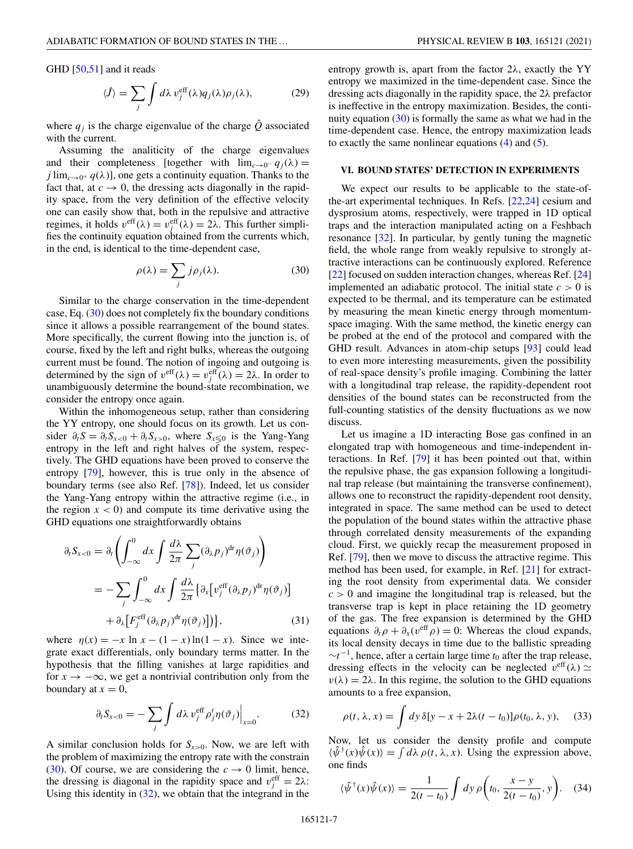GHD [\[50,51\]](#page-11-0) and it reads

$$
\langle \hat{J} \rangle = \sum_{j} \int d\lambda \, v_j^{\text{eff}}(\lambda) q_j(\lambda) \rho_j(\lambda), \tag{29}
$$

where  $q_i$  is the charge eigenvalue of the charge  $\hat{Q}$  associated with the current.

Assuming the analiticity of the charge eigenvalues and their completeness [together with  $\lim_{c\to 0^-} q_i(\lambda) =$ *j* lim<sub>*c*→0<sup>+</sup>  $q(\lambda)$ ], one gets a continuity equation. Thanks to the</sub> fact that, at  $c \to 0$ , the dressing acts diagonally in the rapidity space, from the very definition of the effective velocity one can easily show that, both in the repulsive and attractive regimes, it holds  $v^{\text{eff}}(\lambda) = v_j^{\text{eff}}(\lambda) = 2\lambda$ . This further simplifies the continuity equation obtained from the currents which, in the end, is identical to the time-dependent case,

$$
\rho(\lambda) = \sum_{j} j \rho_j(\lambda). \tag{30}
$$

Similar to the charge conservation in the time-dependent case, Eq. (30) does not completely fix the boundary conditions since it allows a possible rearrangement of the bound states. More specifically, the current flowing into the junction is, of course, fixed by the left and right bulks, whereas the outgoing current must be found. The notion of ingoing and outgoing is determined by the sign of  $v^{\text{eff}}(\lambda) = v_j^{\text{eff}}(\lambda) = 2\lambda$ . In order to unambiguously determine the bound-state recombination, we consider the entropy once again.

Within the inhomogeneous setup, rather than considering the YY entropy, one should focus on its growth. Let us consider  $\partial_t S = \partial_t S_{x<0} + \partial_t S_{x>0}$ , where  $S_{x\leq 0}$  is the Yang-Yang entropy in the left and right halves of the system, respectively. The GHD equations have been proved to conserve the entropy [\[79\]](#page-11-0), however, this is true only in the absence of boundary terms (see also Ref. [\[78\]](#page-11-0)). Indeed, let us consider the Yang-Yang entropy within the attractive regime (i.e., in the region  $x < 0$ ) and compute its time derivative using the GHD equations one straightforwardly obtains

$$
\partial_t S_{x<0} = \partial_t \left( \int_{-\infty}^0 dx \int \frac{d\lambda}{2\pi} \sum_j (\partial_\lambda p_j)^{\mathrm{dr}} \eta(\vartheta_j) \right)
$$
  
= 
$$
- \sum_j \int_{-\infty}^0 dx \int \frac{d\lambda}{2\pi} \{ \partial_x [v_j^{\mathrm{eff}} (\partial_\lambda p_j)^{\mathrm{dr}} \eta(\vartheta_j)]
$$
  
+ 
$$
\partial_\lambda [F_j^{\mathrm{eff}} (\partial_\lambda p_j)^{\mathrm{dr}} \eta(\vartheta_j)] \}, \qquad (31)
$$

where  $\eta(x) = -x \ln x - (1 - x) \ln(1 - x)$ . Since we integrate exact differentials, only boundary terms matter. In the hypothesis that the filling vanishes at large rapidities and for  $x \to -\infty$ , we get a nontrivial contribution only from the boundary at  $x = 0$ ,

$$
\partial_t S_{x<0} = -\sum_j \int d\lambda \, v_j^{\text{eff}} \, \rho_j^t \eta(\vartheta_j) \Big|_{x=0}.
$$
 (32)

A similar conclusion holds for  $S_{x>0}$ . Now, we are left with the problem of maximizing the entropy rate with the constrain (30). Of course, we are considering the  $c \rightarrow 0$  limit, hence, the dressing is diagonal in the rapidity space and  $v_j^{\text{eff}} = 2\lambda$ : Using this identity in (32), we obtain that the integrand in the

entropy growth is, apart from the factor  $2\lambda$ , exactly the YY entropy we maximized in the time-dependent case. Since the dressing acts diagonally in the rapidity space, the 2λ prefactor is ineffective in the entropy maximization. Besides, the continuity equation  $(30)$  is formally the same as what we had in the time-dependent case. Hence, the entropy maximization leads to exactly the same nonlinear equations  $(4)$  and  $(5)$ .

#### **VI. BOUND STATES' DETECTION IN EXPERIMENTS**

We expect our results to be applicable to the state-ofthe-art experimental techniques. In Refs. [\[22,24\]](#page-11-0) cesium and dysprosium atoms, respectively, were trapped in 1D optical traps and the interaction manipulated acting on a Feshbach resonance [\[32\]](#page-11-0). In particular, by gently tuning the magnetic field, the whole range from weakly repulsive to strongly attractive interactions can be continuously explored. Reference [\[22\]](#page-11-0) focused on sudden interaction changes, whereas Ref. [\[24\]](#page-11-0) implemented an adiabatic protocol. The initial state  $c > 0$  is expected to be thermal, and its temperature can be estimated by measuring the mean kinetic energy through momentumspace imaging. With the same method, the kinetic energy can be probed at the end of the protocol and compared with the GHD result. Advances in atom-chip setups [\[93\]](#page-12-0) could lead to even more interesting measurements, given the possibility of real-space density's profile imaging. Combining the latter with a longitudinal trap release, the rapidity-dependent root densities of the bound states can be reconstructed from the full-counting statistics of the density fluctuations as we now discuss.

Let us imagine a 1D interacting Bose gas confined in an elongated trap with homogeneous and time-independent interactions. In Ref. [\[79\]](#page-11-0) it has been pointed out that, within the repulsive phase, the gas expansion following a longitudinal trap release (but maintaining the transverse confinement), allows one to reconstruct the rapidity-dependent root density, integrated in space. The same method can be used to detect the population of the bound states within the attractive phase through correlated density measurements of the expanding cloud. First, we quickly recap the measurement proposed in Ref. [\[79\]](#page-11-0), then we move to discuss the attractive regime. This method has been used, for example, in Ref. [\[21\]](#page-11-0) for extracting the root density from experimental data. We consider  $c > 0$  and imagine the longitudinal trap is released, but the transverse trap is kept in place retaining the 1D geometry of the gas. The free expansion is determined by the GHD equations  $\partial_t \rho + \partial_x (v^{\text{eff}} \rho) = 0$ : Whereas the cloud expands, its local density decays in time due to the ballistic spreading  $\sim t^{-1}$ , hence, after a certain large time  $t_0$  after the trap release, dressing effects in the velocity can be neglected  $v^{\text{eff}}(\lambda) \simeq$  $v(\lambda) = 2\lambda$ . In this regime, the solution to the GHD equations amounts to a free expansion,

$$
\rho(t, \lambda, x) = \int dy \,\delta[y - x + 2\lambda(t - t_0)] \rho(t_0, \lambda, y), \quad (33)
$$

Now, let us consider the density profile and compute  $\langle \hat{\psi}^{\dagger}(x)\hat{\psi}(x)\rangle = \int d\lambda \, \rho(t,\lambda,x)$ . Using the expression above, one finds

$$
\langle \hat{\psi}^{\dagger}(x)\hat{\psi}(x)\rangle = \frac{1}{2(t-t_0)} \int dy \,\rho\bigg(t_0, \frac{x-y}{2(t-t_0)}, y\bigg). \tag{34}
$$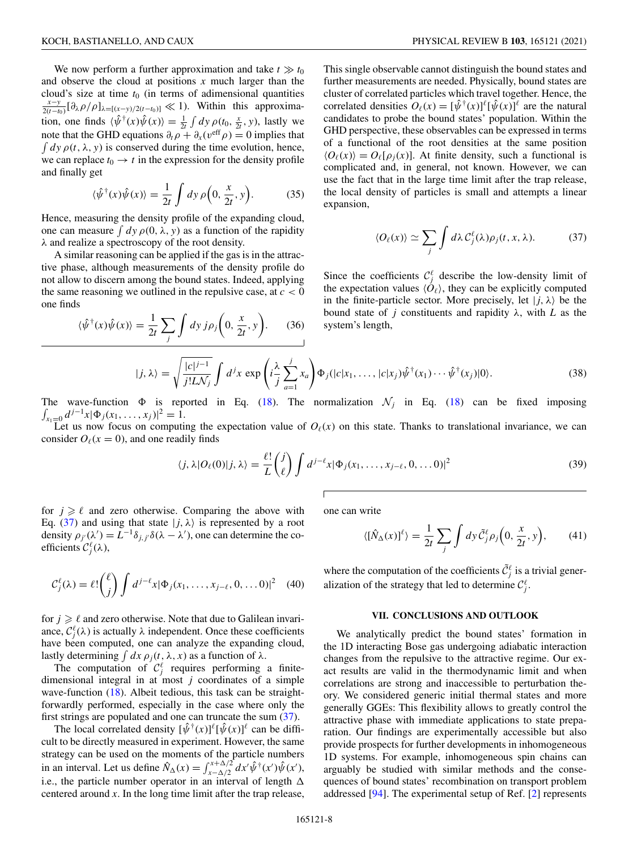We now perform a further approximation and take  $t \gg t_0$ and observe the cloud at positions *x* much larger than the cloud's size at time *<sup>t</sup>*<sup>0</sup> (in terms of adimensional quantities *<sup>x</sup>*−*<sup>y</sup>*  $\frac{x-y}{2(t-t_0)}[\partial_\lambda \rho/\rho]_{\lambda=[(x-y)/2(t-t_0)]} \ll 1$ . Within this approximation, one finds  $\langle \hat{\psi}^{\dagger}(x)\hat{\psi}(x)\rangle = \frac{1}{2t} \int dy \, \rho(t_0, \frac{x}{2t}, y)$ , lastly we note that the GHD equations  $\partial_t \rho + \partial_x (v^{\text{eff}} \rho) = 0$  implies that  $\int dy \rho(t, \lambda, y)$  is conserved during the time evolution, hence, we can replace  $t_0 \rightarrow t$  in the expression for the density profile and finally get

$$
\langle \hat{\psi}^{\dagger}(x)\hat{\psi}(x)\rangle = \frac{1}{2t} \int dy \,\rho\Big(0, \frac{x}{2t}, y\Big). \tag{35}
$$

Hence, measuring the density profile of the expanding cloud, one can measure  $\int dy \rho(0, \lambda, y)$  as a function of the rapidity λ and realize a spectroscopy of the root density.

A similar reasoning can be applied if the gas is in the attractive phase, although measurements of the density profile do not allow to discern among the bound states. Indeed, applying the same reasoning we outlined in the repulsive case, at  $c < 0$ one finds

$$
\langle \hat{\psi}^{\dagger}(x)\hat{\psi}(x)\rangle = \frac{1}{2t}\sum_{j} \int dy \, j\rho_{j}\bigg(0, \frac{x}{2t}, y\bigg). \tag{36}
$$

This single observable cannot distinguish the bound states and further measurements are needed. Physically, bound states are cluster of correlated particles which travel together. Hence, the correlated densities  $O_\ell(x) = [\hat{\psi}^\dagger(x)]^\ell [\hat{\psi}(x)]^\ell$  are the natural candidates to probe the bound states' population. Within the GHD perspective, these observables can be expressed in terms of a functional of the root densities at the same position  $\langle O_\ell(x) \rangle = O_\ell[\rho_\ell(x)]$ . At finite density, such a functional is complicated and, in general, not known. However, we can use the fact that in the large time limit after the trap release, the local density of particles is small and attempts a linear expansion,

$$
\langle O_{\ell}(x) \rangle \simeq \sum_{j} \int d\lambda \, \mathcal{C}_{j}^{\ell}(\lambda) \rho_{j}(t, x, \lambda). \tag{37}
$$

Since the coefficients  $C_j^{\ell}$  describe the low-density limit of the expectation values  $\langle \dot{O}_\ell \rangle$ , they can be explicitly computed in the finite-particle sector. More precisely, let  $|j, \lambda\rangle$  be the bound state of *j* constituents and rapidity λ, with *L* as the system's length,

$$
|j,\lambda\rangle = \sqrt{\frac{|c|^{j-1}}{j!LN_j}} \int d^jx \exp\left(i\frac{\lambda}{j}\sum_{a=1}^j x_a\right) \Phi_j(|c|x_1,\ldots,|c|x_j)\hat{\psi}^\dagger(x_1)\cdots\hat{\psi}^\dagger(x_j)|0\rangle.
$$
 (38)

The wave-function  $\Phi$  is reported in Eq. [\(18\)](#page-5-0). The normalization  $\mathcal{N}_j$  in Eq. (18) can be fixed imposing  $\int_{x_1=0} d^{j-1}x |\Phi_j(x_1,\ldots,x_j)|^2 = 1.$ 

Let us now focus on computing the expectation value of  $O<sub>\ell</sub>(x)$  on this state. Thanks to translational invariance, we can consider  $O_\ell(x=0)$ , and one readily finds

Г

$$
\langle j, \lambda | O_{\ell}(0) | j, \lambda \rangle = \frac{\ell!}{L} {j \choose \ell} \int d^{j-\ell}x |\Phi_j(x_1, \dots, x_{j-\ell}, 0, \dots 0)|^2
$$
\n(39)

for  $j \geq \ell$  and zero otherwise. Comparing the above with Eq. (37) and using that state  $|j, \lambda\rangle$  is represented by a root density  $\rho_{j'}(\lambda') = L^{-1} \delta_{j,j'} \delta(\lambda - \lambda')$ , one can determine the coefficients  $\mathcal{C}_j^{\ell}(\lambda)$ ,

$$
\mathcal{C}_j^{\ell}(\lambda) = \ell! \binom{\ell}{j} \int d^{j-\ell}x |\Phi_j(x_1,\ldots,x_{j-\ell},0,\ldots,0)|^2 \quad (40)
$$

for  $j \geq \ell$  and zero otherwise. Note that due to Galilean invariance,  $C_j^{\ell}(\lambda)$  is actually  $\lambda$  independent. Once these coefficients have been computed, one can analyze the expanding cloud, lastly determining  $\int dx \rho_i(t, \lambda, x)$  as a function of  $\lambda$ .

The computation of  $\mathcal{C}_j^{\ell}$  requires performing a finitedimensional integral in at most  $j$  coordinates of a simple wave-function  $(18)$ . Albeit tedious, this task can be straightforwardly performed, especially in the case where only the first strings are populated and one can truncate the sum  $(37)$ .

The local correlated density  $[\hat{\psi}^{\dagger}(x)]^{\ell}[\hat{\psi}(x)]^{\ell}$  can be difficult to be directly measured in experiment. However, the same strategy can be used on the moments of the particle numbers in an interval. Let us define  $\hat{N}_{\Delta}(x) = \int_{x-\Delta/2}^{x+\Delta/2} dx' \hat{\psi}^{\dagger}(x') \hat{\psi}(x')$ , i.e., the particle number operator in an interval of length  $\Delta$ centered around *x*. In the long time limit after the trap release,

one can write

$$
\langle [\hat{N}_{\Delta}(x)]^{\ell} \rangle = \frac{1}{2t} \sum_{j} \int dy \, \tilde{C}_{j}^{\ell} \rho_{j} \left( 0, \frac{x}{2t}, y \right), \qquad (41)
$$

where the computation of the coefficients  $\tilde{C}_j^{\ell}$  is a trivial generalization of the strategy that led to determine  $\mathcal{C}_j^{\ell}$ .

#### **VII. CONCLUSIONS AND OUTLOOK**

We analytically predict the bound states' formation in the 1D interacting Bose gas undergoing adiabatic interaction changes from the repulsive to the attractive regime. Our exact results are valid in the thermodynamic limit and when correlations are strong and inaccessible to perturbation theory. We considered generic initial thermal states and more generally GGEs: This flexibility allows to greatly control the attractive phase with immediate applications to state preparation. Our findings are experimentally accessible but also provide prospects for further developments in inhomogeneous 1D systems. For example, inhomogeneous spin chains can arguably be studied with similar methods and the consequences of bound states' recombination on transport problem addressed [\[94\]](#page-12-0). The experimental setup of Ref. [\[2\]](#page-10-0) represents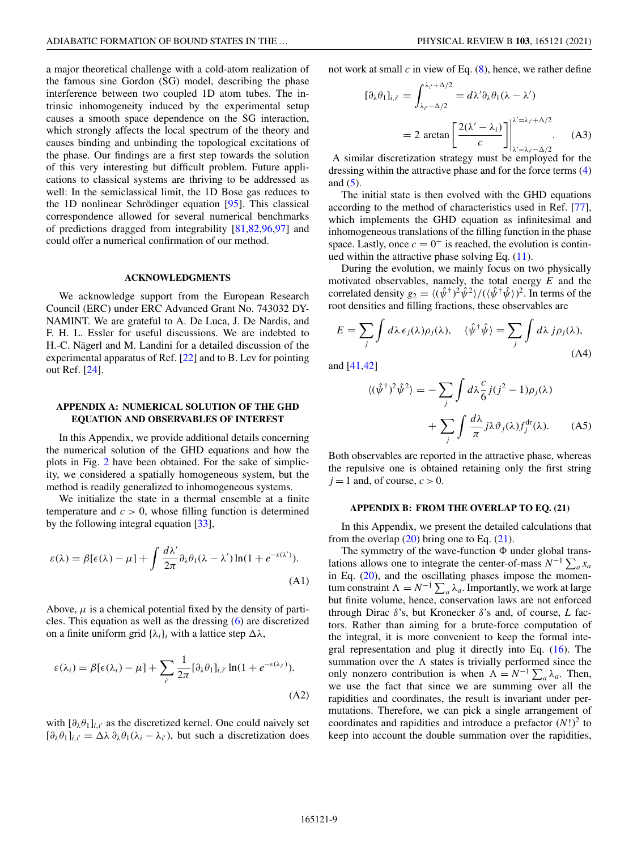<span id="page-9-0"></span>a major theoretical challenge with a cold-atom realization of the famous sine Gordon (SG) model, describing the phase interference between two coupled 1D atom tubes. The intrinsic inhomogeneity induced by the experimental setup causes a smooth space dependence on the SG interaction, which strongly affects the local spectrum of the theory and causes binding and unbinding the topological excitations of the phase. Our findings are a first step towards the solution of this very interesting but difficult problem. Future applications to classical systems are thriving to be addressed as well: In the semiclassical limit, the 1D Bose gas reduces to the 1D nonlinear Schrödinger equation [\[95\]](#page-12-0). This classical correspondence allowed for several numerical benchmarks of predictions dragged from integrability [\[81,82](#page-11-0)[,96,97\]](#page-12-0) and could offer a numerical confirmation of our method.

#### **ACKNOWLEDGMENTS**

We acknowledge support from the European Research Council (ERC) under ERC Advanced Grant No. 743032 DY-NAMINT. We are grateful to A. De Luca, J. De Nardis, and F. H. L. Essler for useful discussions. We are indebted to H.-C. Nägerl and M. Landini for a detailed discussion of the experimental apparatus of Ref. [\[22\]](#page-11-0) and to B. Lev for pointing out Ref. [\[24\]](#page-11-0).

#### **APPENDIX A: NUMERICAL SOLUTION OF THE GHD EQUATION AND OBSERVABLES OF INTEREST**

In this Appendix, we provide additional details concerning the numerical solution of the GHD equations and how the plots in Fig. [2](#page-3-0) have been obtained. For the sake of simplicity, we considered a spatially homogeneous system, but the method is readily generalized to inhomogeneous systems.

We initialize the state in a thermal ensemble at a finite temperature and  $c > 0$ , whose filling function is determined by the following integral equation [\[33\]](#page-11-0),

$$
\varepsilon(\lambda) = \beta[\epsilon(\lambda) - \mu] + \int \frac{d\lambda'}{2\pi} \partial_{\lambda} \theta_1(\lambda - \lambda') \ln(1 + e^{-\varepsilon(\lambda')}).
$$
\n(A1)

Above,  $\mu$  is a chemical potential fixed by the density of particles. This equation as well as the dressing [\(6\)](#page-2-0) are discretized on a finite uniform grid  $\{\lambda_i\}_i$  with a lattice step  $\Delta \lambda$ ,

$$
\varepsilon(\lambda_i) = \beta[\epsilon(\lambda_i) - \mu] + \sum_{i'} \frac{1}{2\pi} [\partial_{\lambda} \theta_1]_{i,i'} \ln(1 + e^{-\varepsilon(\lambda_{i'})}).
$$
\n(A2)

with  $[\partial_{\lambda} \theta_1]_{i,i'}$  as the discretized kernel. One could naively set  $[\partial_{\lambda} \theta_1]_{i,i'} = \Delta \lambda \partial_{\lambda} \theta_1 (\lambda_i - \lambda_{i'}),$  but such a discretization does not work at small  $c$  in view of Eq.  $(8)$ , hence, we rather define

$$
[\partial_{\lambda}\theta_{1}]_{i,i'} = \int_{\lambda_{i'}-\Delta/2}^{\lambda_{i'}+\Delta/2} = d\lambda'\partial_{\lambda}\theta_{1}(\lambda-\lambda')
$$
  
= 2 arctan  $\left[\frac{2(\lambda'-\lambda_{i})}{c}\right]_{\lambda'=\lambda_{i'}-\Delta/2}^{\lambda'=\lambda_{i'}+\Delta/2}$ . (A3)

A similar discretization strategy must be employed for the dressing within the attractive phase and for the force terms [\(4\)](#page-2-0) and  $(5)$ .

The initial state is then evolved with the GHD equations according to the method of characteristics used in Ref. [\[77\]](#page-11-0), which implements the GHD equation as infinitesimal and inhomogeneous translations of the filling function in the phase space. Lastly, once  $c = 0^+$  is reached, the evolution is continued within the attractive phase solving Eq.  $(11)$ .

During the evolution, we mainly focus on two physically motivated observables, namely, the total energy *E* and the correlated density  $g_2 = \langle (\hat{\psi}^{\dagger})^2 \hat{\psi}^2 \rangle / (\langle \hat{\psi}^{\dagger} \hat{\psi} \rangle)^2$ . In terms of the root densities and filling fractions, these observables are

$$
E = \sum_{j} \int d\lambda \,\epsilon_{j}(\lambda)\rho_{j}(\lambda), \quad \langle \hat{\psi}^{\dagger}\hat{\psi} \rangle = \sum_{j} \int d\lambda \, j\rho_{j}(\lambda), \tag{A4}
$$

and [\[41,42\]](#page-11-0)

$$
\langle (\hat{\psi}^{\dagger})^2 \hat{\psi}^2 \rangle = -\sum_{j} \int d\lambda \frac{c}{6} j(j^2 - 1) \rho_j(\lambda)
$$

$$
+ \sum_{j} \int \frac{d\lambda}{\pi} j \lambda \vartheta_j(\lambda) f_j^{\text{dr}}(\lambda). \qquad (A5)
$$

Both observables are reported in the attractive phase, whereas the repulsive one is obtained retaining only the first string  $j = 1$  and, of course,  $c > 0$ .

#### **APPENDIX B: FROM THE OVERLAP TO EQ. (21)**

In this Appendix, we present the detailed calculations that from the overlap  $(20)$  bring one to Eq.  $(21)$ .

The symmetry of the wave-function  $\Phi$  under global translations allows one to integrate the center-of-mass  $N^{-1} \sum_a x_a$ in Eq. [\(20\)](#page-5-0), and the oscillating phases impose the momentum constraint  $\Lambda = N^{-1} \sum_a \lambda_a$ . Importantly, we work at large but finite volume, hence, conservation laws are not enforced through Dirac δ's, but Kronecker δ's and, of course, *L* factors. Rather than aiming for a brute-force computation of the integral, it is more convenient to keep the formal inte-gral representation and plug it directly into Eq. [\(16\)](#page-5-0). The summation over the  $\Lambda$  states is trivially performed since the only nonzero contribution is when  $\Lambda = N^{-1} \sum_a \lambda_a$ . Then, we use the fact that since we are summing over all the rapidities and coordinates, the result is invariant under permutations. Therefore, we can pick a single arrangement of coordinates and rapidities and introduce a prefactor  $(N!)^2$  to keep into account the double summation over the rapidities,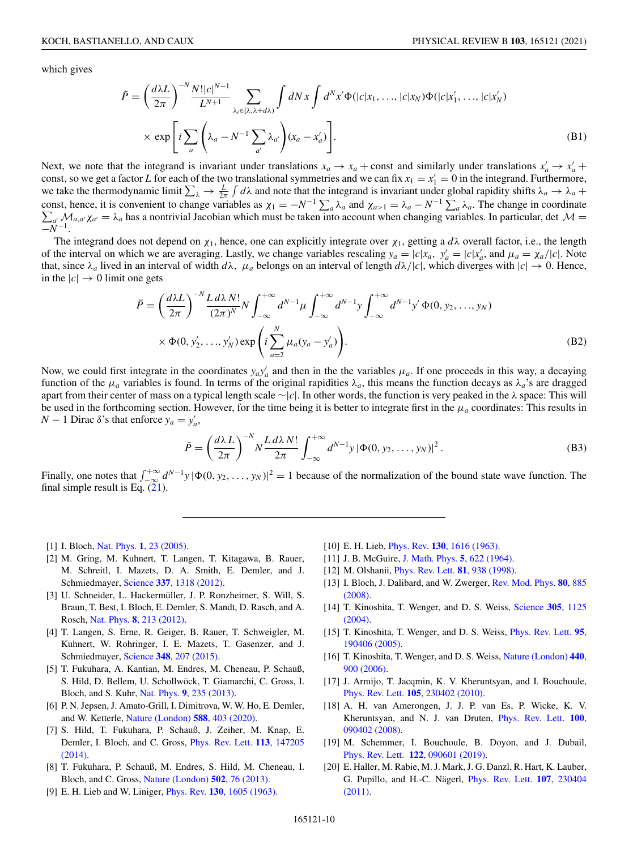<span id="page-10-0"></span>which gives

$$
\bar{P} = \left(\frac{d\lambda L}{2\pi}\right)^{-N} \frac{N!|c|^{N-1}}{L^{N+1}} \sum_{\lambda_i \in [\lambda, \lambda + d\lambda)} \int dN x \int d^N x' \Phi(|c|x_1, \dots, |c|x_N) \Phi(|c|x'_1, \dots, |c|x'_N)
$$
  
 
$$
\times \exp\left[i \sum_a \left(\lambda_a - N^{-1} \sum_{a'} \lambda_{a'}\right) (x_a - x'_a)\right].
$$
 (B1)

Next, we note that the integrand is invariant under translations  $x_a \to x_a$  + const and similarly under translations  $x'_a \to x'_a$  + const, so we get a factor *L* for each of the two translational symmetries and we can fix  $x_1 = x_1' = 0$  in the integrand. Furthermore, we take the thermodynamic limit  $\sum_{\lambda} \to \frac{L}{2\pi} \int d\lambda$  and note that the integrand is invariant under global rapidity shifts  $\lambda_a \to \lambda_a$  + const, hence, it is convenient to change variables as  $\chi_1 = -N^{-1} \sum_a \lambda_a$  and  $\chi_{a>1} = \lambda_a - N^{-1} \sum_a \lambda_a$ . The change in coordinate  $\sum_{a'} \mathcal{M}_{a,a'} \chi_{a'} = \lambda_a$  has a nontrivial Jacobian which must be taken into account when cha  $\mathcal{M}_{a,a'}\chi_{a'}=\lambda_a$  has a nontrivial Jacobian which must be taken into account when changing variables. In particular, det  $\mathcal{M}=\lambda_a$  $\overline{-N^{-1}}$ .

The integrand does not depend on  $\chi_1$ , hence, one can explicitly integrate over  $\chi_1$ , getting a  $d\lambda$  overall factor, i.e., the length of the interval on which we are averaging. Lastly, we change variables rescaling  $y_a = |c|x_a, y'_a = |c|x'_a$ , and  $\mu_a = \chi_a/|c|$ . Note that, since  $\lambda_a$  lived in an interval of width  $d\lambda$ ,  $\mu_a$  belongs on an interval of length  $d\lambda/|c|$ , which diverges with  $|c| \to 0$ . Hence, in the  $|c| \rightarrow 0$  limit one gets

$$
\bar{P} = \left(\frac{d\lambda L}{2\pi}\right)^{-N} \frac{L d\lambda N!}{(2\pi)^N} N \int_{-\infty}^{+\infty} d^{N-1} \mu \int_{-\infty}^{+\infty} d^{N-1} y \int_{-\infty}^{+\infty} d^{N-1} y' \Phi(0, y_2, ..., y_N) \times \Phi(0, y'_2, ..., y'_N) \exp\left(i \sum_{a=2}^N \mu_a (y_a - y'_a)\right).
$$
\n(B2)

Now, we could first integrate in the coordinates  $y_a y'_a$  and then in the the variables  $\mu_a$ . If one proceeds in this way, a decaying function of the  $\mu_a$  variables is found. In terms of the original rapidities  $\lambda_a$ , this means the function decays as  $\lambda_a$ 's are dragged apart from their center of mass on a typical length scale ∼|*c*|. In other words, the function is very peaked in the λ space: This will be used in the forthcoming section. However, for the time being it is better to integrate first in the μ*<sup>a</sup>* coordinates: This results in *N* − 1 Dirac  $\delta$ 's that enforce  $y_a = y'_a$ ,

$$
\bar{P} = \left(\frac{d\lambda L}{2\pi}\right)^{-N} N \frac{L d\lambda N!}{2\pi} \int_{-\infty}^{+\infty} d^{N-1} y \, |\Phi(0, y_2, \dots, y_N)|^2 \,. \tag{B3}
$$

Finally, one notes that  $\int_{-\infty}^{+\infty} d^{N-1}y |\Phi(0, y_2, \dots, y_N)|^2 = 1$  because of the normalization of the bound state wave function. The final simple result is Eq.  $(21)$ .

[1] I. Bloch, Nat. Phys. **1**[, 23 \(2005\).](https://doi.org/10.1038/nphys138)

- [2] M. Gring, M. Kuhnert, T. Langen, T. Kitagawa, B. Rauer, M. Schreitl, I. Mazets, D. A. Smith, E. Demler, and J. Schmiedmayer, Science **337**[, 1318 \(2012\).](https://doi.org/10.1126/science.1224953)
- [3] U. Schneider, L. Hackermüller, J. P. Ronzheimer, S. Will, S. Braun, T. Best, I. Bloch, E. Demler, S. Mandt, D. Rasch, and A. Rosch, Nat. Phys. **8**[, 213 \(2012\).](https://doi.org/10.1038/nphys2205)
- [4] T. Langen, S. Erne, R. Geiger, B. Rauer, T. Schweigler, M. Kuhnert, W. Rohringer, I. E. Mazets, T. Gasenzer, and J. Schmiedmayer, Science **348**[, 207 \(2015\).](https://doi.org/10.1126/science.1257026)
- [5] T. Fukuhara, A. Kantian, M. Endres, M. Cheneau, P. Schauß, S. Hild, D. Bellem, U. Schollwöck, T. Giamarchi, C. Gross, I. Bloch, and S. Kuhr, Nat. Phys. **9**[, 235 \(2013\).](https://doi.org/10.1038/nphys2561)
- [6] P. N. Jepsen, J. Amato-Grill, I. Dimitrova, W. W. Ho, E. Demler, and W. Ketterle, [Nature \(London\)](https://doi.org/10.1038/s41586-020-3033-y) **588**, 403 (2020).
- [7] S. Hild, T. Fukuhara, P. Schauß, J. Zeiher, M. Knap, E. [Demler, I. Bloch, and C. Gross,](https://doi.org/10.1103/PhysRevLett.113.147205) Phys. Rev. Lett. **113**, 147205 (2014).
- [8] T. Fukuhara, P. Schauß, M. Endres, S. Hild, M. Cheneau, I. Bloch, and C. Gross, [Nature \(London\)](https://doi.org/10.1038/nature12541) **502**, 76 (2013).
- [9] E. H. Lieb and W. Liniger, Phys. Rev. **130**[, 1605 \(1963\).](https://doi.org/10.1103/PhysRev.130.1605)
- [10] E. H. Lieb, Phys. Rev. **130**[, 1616 \(1963\).](https://doi.org/10.1103/PhysRev.130.1616)
- [11] J. B. McGuire, [J. Math. Phys.](https://doi.org/10.1063/1.1704156) **5**, 622 (1964).
- [12] M. Olshanii, [Phys. Rev. Lett.](https://doi.org/10.1103/PhysRevLett.81.938) **81**, 938 (1998).
- [13] [I. Bloch, J. Dalibard, and W. Zwerger,](https://doi.org/10.1103/RevModPhys.80.885) Rev. Mod. Phys. **80**, 885 (2008).
- [14] [T. Kinoshita, T. Wenger, and D. S. Weiss,](https://doi.org/10.1126/science.1100700) Science **305**, 1125 (2004).
- [15] [T. Kinoshita, T. Wenger, and D. S. Weiss,](https://doi.org/10.1103/PhysRevLett.95.190406) Phys. Rev. Lett. **95**, 190406 (2005).
- [16] [T. Kinoshita, T. Wenger, and D. S. Weiss,](https://doi.org/10.1038/nature04693) Nature (London) **440**, 900 (2006).
- [17] J. Armijo, T. Jacqmin, K. V. Kheruntsyan, and I. Bouchoule, Phys. Rev. Lett. **105**[, 230402 \(2010\).](https://doi.org/10.1103/PhysRevLett.105.230402)
- [18] A. H. van Amerongen, J. J. P. van Es, P. Wicke, K. V. [Kheruntsyan, and N. J. van Druten,](https://doi.org/10.1103/PhysRevLett.100.090402) Phys. Rev. Lett. **100**, 090402 (2008).
- [19] M. Schemmer, I. Bouchoule, B. Doyon, and J. Dubail, Phys. Rev. Lett. **122**[, 090601 \(2019\).](https://doi.org/10.1103/PhysRevLett.122.090601)
- [20] E. Haller, M. Rabie, M. J. Mark, J. G. Danzl, R. Hart, K. Lauber, [G. Pupillo, and H.-C. Nägerl,](https://doi.org/10.1103/PhysRevLett.107.230404) Phys. Rev. Lett. **107**, 230404 (2011).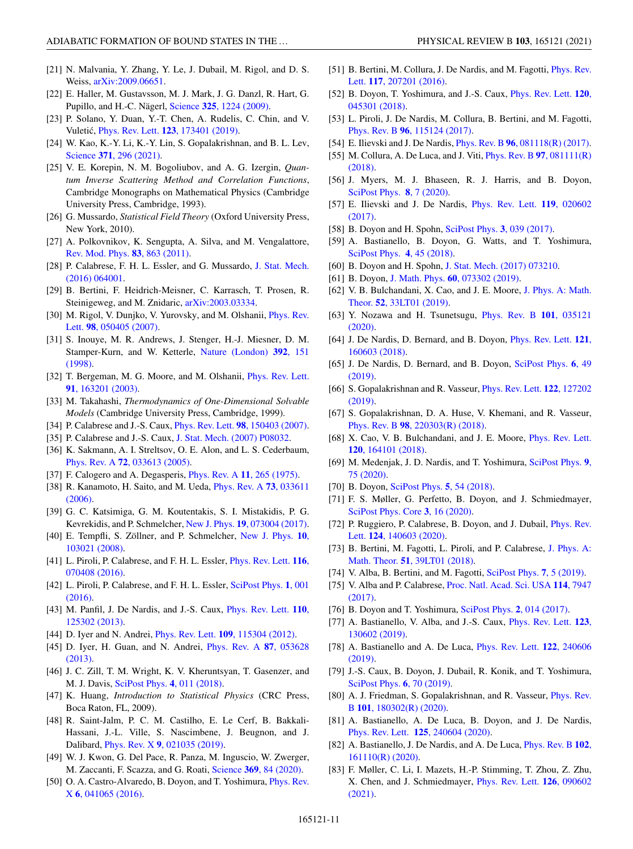- <span id="page-11-0"></span>[21] N. Malvania, Y. Zhang, Y. Le, J. Dubail, M. Rigol, and D. S. Weiss, [arXiv:2009.06651.](http://arxiv.org/abs/arXiv:2009.06651)
- [22] E. Haller, M. Gustavsson, M. J. Mark, J. G. Danzl, R. Hart, G. Pupillo, and H.-C. Nägerl, Science **325**[, 1224 \(2009\).](https://doi.org/10.1126/science.1175850)
- [23] P. Solano, Y. Duan, Y.-T. Chen, A. Rudelis, C. Chin, and V. Vuletic,´ Phys. Rev. Lett. **123**[, 173401 \(2019\).](https://doi.org/10.1103/PhysRevLett.123.173401)
- [24] W. Kao, K.-Y. Li, K.-Y. Lin, S. Gopalakrishnan, and B. L. Lev, Science **371**[, 296 \(2021\).](https://doi.org/10.1126/science.abb4928)
- [25] V. E. Korepin, N. M. Bogoliubov, and A. G. Izergin, *Quantum Inverse Scattering Method and Correlation Functions*, Cambridge Monographs on Mathematical Physics (Cambridge University Press, Cambridge, 1993).
- [26] G. Mussardo, *Statistical Field Theory* (Oxford University Press, New York, 2010).
- [27] A. Polkovnikov, K. Sengupta, A. Silva, and M. Vengalattore, [Rev. Mod. Phys.](https://doi.org/10.1103/RevModPhys.83.863) **83**, 863 (2011).
- [28] [P. Calabrese, F. H. L. Essler, and G. Mussardo,](https://doi.org/10.1088/1742-5468/2016/06/064001) J. Stat. Mech. (2016) 064001.
- [29] B. Bertini, F. Heidrich-Meisner, C. Karrasch, T. Prosen, R. Steinigeweg, and M. Znidaric, [arXiv:2003.03334.](http://arxiv.org/abs/arXiv:2003.03334)
- [30] [M. Rigol, V. Dunjko, V. Yurovsky, and M. Olshanii,](https://doi.org/10.1103/PhysRevLett.98.050405) *Phys. Rev.* Lett. **98**, 050405 (2007).
- [31] S. Inouye, M. R. Andrews, J. Stenger, H.-J. Miesner, D. M. [Stamper-Kurn, and W. Ketterle,](https://doi.org/10.1038/32354) Nature (London) **392**, 151 (1998).
- [32] [T. Bergeman, M. G. Moore, and M. Olshanii,](https://doi.org/10.1103/PhysRevLett.91.163201) *Phys. Rev. Lett.* **91**, 163201 (2003).
- [33] M. Takahashi, *Thermodynamics of One-Dimensional Solvable Models* (Cambridge University Press, Cambridge, 1999).
- [34] P. Calabrese and J.-S. Caux, Phys. Rev. Lett. **98**[, 150403 \(2007\).](https://doi.org/10.1103/PhysRevLett.98.150403)
- [35] P. Calabrese and J.-S. Caux, [J. Stat. Mech. \(2007\) P08032.](https://doi.org/10.1088/1742-5468/2007/08/P08032)
- [36] K. Sakmann, A. I. Streltsov, O. E. Alon, and L. S. Cederbaum, Phys. Rev. A **72**[, 033613 \(2005\).](https://doi.org/10.1103/PhysRevA.72.033613)
- [37] F. Calogero and A. Degasperis, [Phys. Rev. A](https://doi.org/10.1103/PhysRevA.11.265) **11**, 265 (1975).
- [38] [R. Kanamoto, H. Saito, and M. Ueda,](https://doi.org/10.1103/PhysRevA.73.033611) Phys. Rev. A **73**, 033611 (2006).
- [39] G. C. Katsimiga, G. M. Koutentakis, S. I. Mistakidis, P. G. Kevrekidis, and P. Schmelcher, New J. Phys. **19**[, 073004 \(2017\).](https://doi.org/10.1088/1367-2630/aa766b)
- [40] [E. Tempfli, S. Zöllner, and P. Schmelcher,](https://doi.org/10.1088/1367-2630/10/10/103021) New J. Phys. **10**, 103021 (2008).
- [41] [L. Piroli, P. Calabrese, and F. H. L. Essler,](https://doi.org/10.1103/PhysRevLett.116.070408) Phys. Rev. Lett. **116**, 070408 (2016).
- [42] [L. Piroli, P. Calabrese, and F. H. L. Essler,](https://doi.org/10.21468/SciPostPhys.1.1.001) SciPost Phys. **1**, 001 (2016).
- [43] [M. Panfil, J. De Nardis, and J.-S. Caux,](https://doi.org/10.1103/PhysRevLett.110.125302) Phys. Rev. Lett. **110**, 125302 (2013).
- [44] D. Iyer and N. Andrei, Phys. Rev. Lett. **109**[, 115304 \(2012\).](https://doi.org/10.1103/PhysRevLett.109.115304)
- [45] [D. Iyer, H. Guan, and N. Andrei,](https://doi.org/10.1103/PhysRevA.87.053628) Phys. Rev. A **87**, 053628 (2013).
- [46] J. C. Zill, T. M. Wright, K. V. Kheruntsyan, T. Gasenzer, and M. J. Davis, [SciPost Phys.](https://doi.org/10.21468/SciPostPhys.4.2.011) **4**, 011 (2018).
- [47] K. Huang, *Introduction to Statistical Physics* (CRC Press, Boca Raton, FL, 2009).
- [48] R. Saint-Jalm, P. C. M. Castilho, E. Le Cerf, B. Bakkali-Hassani, J.-L. Ville, S. Nascimbene, J. Beugnon, and J. Dalibard, Phys. Rev. X **9**[, 021035 \(2019\).](https://doi.org/10.1103/PhysRevX.9.021035)
- [49] W. J. Kwon, G. Del Pace, R. Panza, M. Inguscio, W. Zwerger, M. Zaccanti, F. Scazza, and G. Roati, Science **369**[, 84 \(2020\).](https://doi.org/10.1126/science.aaz2463)
- [50] [O. A. Castro-Alvaredo, B. Doyon, and T. Yoshimura,](https://doi.org/10.1103/PhysRevX.6.041065) *Phys. Rev.* X **6**, 041065 (2016).
- [51] [B. Bertini, M. Collura, J. De Nardis, and M. Fagotti,](https://doi.org/10.1103/PhysRevLett.117.207201) *Phys. Rev.* Lett. **117**, 207201 (2016).
- [52] [B. Doyon, T. Yoshimura, and J.-S. Caux,](https://doi.org/10.1103/PhysRevLett.120.045301) Phys. Rev. Lett. **120**, 045301 (2018).
- [53] L. Piroli, J. De Nardis, M. Collura, B. Bertini, and M. Fagotti, Phys. Rev. B **96**[, 115124 \(2017\).](https://doi.org/10.1103/PhysRevB.96.115124)
- [54] E. Ilievski and J. De Nardis, Phys. Rev. B **96**[, 081118\(R\) \(2017\).](https://doi.org/10.1103/PhysRevB.96.081118)
- [55] [M. Collura, A. De Luca, and J. Viti,](https://doi.org/10.1103/PhysRevB.97.081111) Phys. Rev. B **97**, 081111(R) (2018).
- [56] J. Myers, M. J. Bhaseen, R. J. Harris, and B. Doyon, [SciPost Phys.](https://doi.org/10.21468/SciPostPhys.8.1.007) **8**, 7 (2020).
- [57] [E. Ilievski and J. De Nardis,](https://doi.org/10.1103/PhysRevLett.119.020602) Phys. Rev. Lett. **119**, 020602 (2017).
- [58] B. Doyon and H. Spohn, [SciPost Phys.](https://doi.org/10.21468/SciPostPhys.3.6.039) **3**, 039 (2017).
- [59] A. Bastianello, B. Doyon, G. Watts, and T. Yoshimura, [SciPost Phys.](https://doi.org/10.21468/SciPostPhys.4.6.045) **4**, 45 (2018).
- [60] B. Doyon and H. Spohn, [J. Stat. Mech. \(2017\) 073210.](https://doi.org/10.1088/1742-5468/aa7abf)
- [61] B. Doyon, J. Math. Phys. **60**[, 073302 \(2019\).](https://doi.org/10.1063/1.5096892)
- [62] [V. B. Bulchandani, X. Cao, and J. E. Moore,](https://doi.org/10.1088/1751-8121/ab2cf0) J. Phys. A: Math. Theor. **52**, 33LT01 (2019).
- [63] [Y. Nozawa and H. Tsunetsugu,](https://doi.org/10.1103/PhysRevB.101.035121) Phys. Rev. B **101**, 035121 (2020).
- [64] [J. De Nardis, D. Bernard, and B. Doyon,](https://doi.org/10.1103/PhysRevLett.121.160603) Phys. Rev. Lett. **121**, 160603 (2018).
- [65] [J. De Nardis, D. Bernard, and B. Doyon,](https://doi.org/10.21468/SciPostPhys.6.4.049) SciPost Phys. **6**, 49 (2019).
- [66] [S. Gopalakrishnan and R. Vasseur,](https://doi.org/10.1103/PhysRevLett.122.127202) Phys. Rev. Lett. **122**, 127202 (2019).
- [67] S. Gopalakrishnan, D. A. Huse, V. Khemani, and R. Vasseur, Phys. Rev. B **98**[, 220303\(R\) \(2018\).](https://doi.org/10.1103/PhysRevB.98.220303)
- [68] [X. Cao, V. B. Bulchandani, and J. E. Moore,](https://doi.org/10.1103/PhysRevLett.120.164101) Phys. Rev. Lett. **120**, 164101 (2018).
- [69] [M. Medenjak, J. D. Nardis, and T. Yoshimura,](https://doi.org/10.21468/SciPostPhys.9.5.075) SciPost Phys. **9**, 75 (2020).
- [70] B. Doyon, [SciPost Phys.](https://doi.org/10.21468/SciPostPhys.5.5.054) **5**, 54 (2018).
- [71] F. S. Møller, G. Perfetto, B. Doyon, and J. Schmiedmayer, [SciPost Phys. Core](https://doi.org/10.21468/SciPostPhysCore.3.2.016) **3**, 16 (2020).
- [72] [P. Ruggiero, P. Calabrese, B. Doyon, and J. Dubail,](https://doi.org/10.1103/PhysRevLett.124.140603) *Phys. Rev.* Lett. **124**, 140603 (2020).
- [73] [B. Bertini, M. Fagotti, L. Piroli, and P. Calabrese,](https://doi.org/10.1088/1751-8121/aad82e) J. Phys. A: Math. Theor. **51**, 39LT01 (2018).
- [74] V. Alba, B. Bertini, and M. Fagotti, [SciPost Phys.](https://doi.org/10.21468/SciPostPhys.7.1.005) **7**, 5 (2019).
- [75] V. Alba and P. Calabrese, [Proc. Natl. Acad. Sci. USA](https://doi.org/10.1073/pnas.1703516114) **114**, 7947 (2017).
- [76] B. Doyon and T. Yoshimura, [SciPost Phys.](https://doi.org/10.21468/SciPostPhys.2.2.014) **2**, 014 (2017).
- [77] [A. Bastianello, V. Alba, and J.-S. Caux,](https://doi.org/10.1103/PhysRevLett.123.130602) Phys. Rev. Lett. **123**, 130602 (2019).
- [78] [A. Bastianello and A. De Luca,](https://doi.org/10.1103/PhysRevLett.122.240606) Phys. Rev. Lett. **122**, 240606 (2019).
- [79] J.-S. Caux, B. Doyon, J. Dubail, R. Konik, and T. Yoshimura, [SciPost Phys.](https://doi.org/10.21468/SciPostPhys.6.6.070) **6**, 70 (2019).
- [80] [A. J. Friedman, S. Gopalakrishnan, and R. Vasseur,](https://doi.org/10.1103/PhysRevB.101.180302) *Phys. Rev.* B **101**, 180302(R) (2020).
- [81] A. Bastianello, A. De Luca, B. Doyon, and J. De Nardis, Phys. Rev. Lett. **125**[, 240604 \(2020\).](https://doi.org/10.1103/PhysRevLett.125.240604)
- [82] [A. Bastianello, J. De Nardis, and A. De Luca,](https://doi.org/10.1103/PhysRevB.102.161110) Phys. Rev. B **102**, 161110(R) (2020).
- [83] F. Møller, C. Li, I. Mazets, H.-P. Stimming, T. Zhou, Z. Zhu, [X. Chen, and J. Schmiedmayer,](https://doi.org/10.1103/PhysRevLett.126.090602) Phys. Rev. Lett. **126**, 090602 (2021).